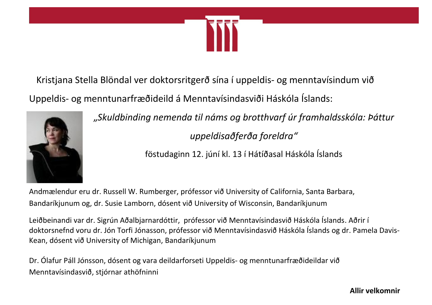

Kristjana Stella Blöndal ver doktorsritgerð sína í uppeldis- og menntavísindum við Uppeldis- og menntunarfræðideild á Menntavísindasviði Háskóla Íslands:



"*Skuldbinding nemenda til náms og brotthvarf úr framhaldsskóla: Þáttur uppeldisaðferða foreldra"*

föstudaginn 12. júní kl. 13 í Hátíðasal Háskóla Íslands

Andmælendur eru dr. Russell W. Rumberger, prófessor við University of California, Santa Barbara, Bandaríkjunum og, dr. Susie Lamborn, dósent við University of Wisconsin, Bandaríkjunum

Leiðbeinandi var dr. Sigrún Aðalbjarnardóttir, prófessor við Menntavísindasvið Háskóla Íslands. Aðrir í doktorsnefnd voru dr. Jón Torfi Jónasson, prófessor við Menntavísindasvið Háskóla Íslands og dr. Pamela Davis-Kean, dósent við University of Michigan, Bandaríkjunum

Dr. Ólafur Páll Jónsson, dósent og vara deildarforseti Uppeldis- og menntunarfræðideildar við Menntavísindasvið, stjórnar athöfninni

**Allir velkomnir**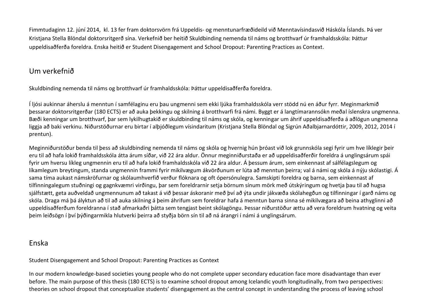Fimmtudaginn 12. júní 2014, kl. 13 fer fram doktorsvörn frá Uppeldis- og menntunarfræðideild við Menntavísindasvið Háskóla Íslands. Þá ver Kristjana Stella Blöndal doktorsritgerð sína. Verkefnið ber heitið Skuldbinding nemenda til náms og brotthvarf úr framhaldsskóla: Þáttur uppeldisaðferða foreldra. Enska heitið er Student Disengagement and School Dropout: Parenting Practices as Context.

## Um verkefnið

Skuldbinding nemenda til náms og brotthvarf úr framhaldsskóla: Þáttur uppeldisaðferða foreldra.

Í ljósi aukinnar áherslu á menntun í samfélaginu eru þau ungmenni sem ekki ljúka framhaldsskóla verr stödd nú en áður fyrr. Meginmarkmið þessarar doktorsritgerðar (180 ECTS) er að auka þekkingu og skilning á brotthvarfi frá námi. Byggt er á langtímarannsókn meðal íslenskra ungmenna. Bæði kenningar um brotthvarf, þar sem lykilhugtakið er skuldbinding til náms og skóla, og kenningar um áhrif uppeldisaðferða á aðlögun ungmenna liggja að baki verkinu. Niðurstöðurnar eru birtar í alþjóðlegum vísindaritum (Kristjana Stella Blöndal og Sigrún Aðalbjarnardóttir, 2009, 2012, 2014 í prentun).

Meginniðurstöður benda til þess að skuldbinding nemenda til náms og skóla og hvernig hún þróast við lok grunnskóla segi fyrir um hve líklegir þeir eru til að hafa lokið framhaldsskóla átta árum síðar, við 22 ára aldur. Önnur meginniðurstaða er að uppeldisaðferðir foreldra á unglingsárum spái fyrir um hversu líkleg ungmennin eru til að hafa lokið framhaldsskóla við 22 ára aldur. Á þessum árum, sem einkennast af sálfélagslegum og líkamlegum breytingum, standa ungmennin frammi fyrir mikilvægum ákvörðunum er lúta að menntun þeirra; val á námi og skóla á nýju skólastigi. Á sama tíma aukast námskröfurnar og skólaumhverfið verður flóknara og oft ópersónulegra. Samskipti foreldra og barna, sem einkennast af tilfinningalegum stuðningi og gagnkvæmri virðingu, þar sem foreldrarnir setja börnum sínum mörk með útskýringum og hvetja þau til að hugsa sjálfstætt, geta auðveldað ungmennunum að takast á við þessar áskoranir með því að ýta undir jákvæða skólahegðun og tilfinningar í garð náms og skóla. Draga má þá ályktun að til að auka skilning á þeim áhrifum sem foreldrar hafa á menntun barna sinna sé mikilvægara að beina athyglinni að uppeldisaðferðum foreldranna í stað afmarkaðri þátta sem tengjast beint skólagöngu. Þessar niðurstöður ættu að vera foreldrum hvatning og veita þeim leiðsögn í því þýðingarmikla hlutverki þeirra að styðja börn sín til að ná árangri í námi á unglingsárum.

## Enska

Student Disengagement and School Dropout: Parenting Practices as Context

In our modern knowledge-based societies young people who do not complete upper secondary education face more disadvantage than ever before. The main purpose of this thesis (180 ECTS) is to examine school dropout among Icelandic youth longitudinally, from two perspectives: theories on school dropout that conceptualize students' disengagement as the central concept in understanding the process of leaving school